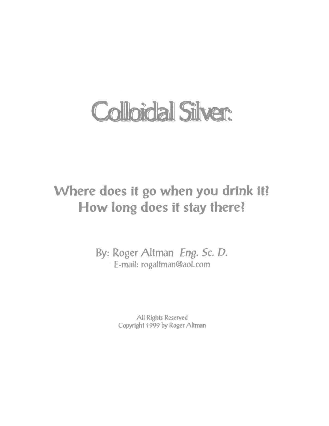# **Colloidal Silver:**

### Where does it go when you drink it? How long does it stay there!

By: Roger Altman Eng. Sc. D. E-mail: rogaltman@aol.com

> All Rights Reserved Copyright 1999 by Roger Altman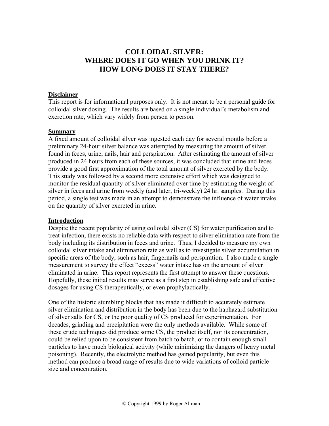#### **COLLOIDAL SILVER: WHERE DOES IT GO WHEN YOU DRINK IT? HOW LONG DOES IT STAY THERE?**

#### **Disclaimer**

This report is for informational purposes only. It is not meant to be a personal guide for colloidal silver dosing. The results are based on a single individual's metabolism and excretion rate, which vary widely from person to person.

#### **Summary**

A fixed amount of colloidal silver was ingested each day for several months before a preliminary 24-hour silver balance was attempted by measuring the amount of silver found in feces, urine, nails, hair and perspiration. After estimating the amount of silver produced in 24 hours from each of these sources, it was concluded that urine and feces provide a good first approximation of the total amount of silver excreted by the body. This study was followed by a second more extensive effort which was designed to monitor the residual quantity of silver eliminated over time by estimating the weight of silver in feces and urine from weekly (and later, tri-weekly) 24 hr. samples. During this period, a single test was made in an attempt to demonstrate the influence of water intake on the quantity of silver excreted in urine.

#### **Introduction**

Despite the recent popularity of using colloidal silver (CS) for water purification and to treat infection, there exists no reliable data with respect to silver elimination rate from the body including its distribution in feces and urine. Thus, I decided to measure my own colloidal silver intake and elimination rate as well as to investigate silver accumulation in specific areas of the body, such as hair, fingernails and perspiration. I also made a single measurement to survey the effect "excess" water intake has on the amount of silver eliminated in urine. This report represents the first attempt to answer these questions. Hopefully, these initial results may serve as a first step in establishing safe and effective dosages for using CS therapeutically, or even prophylactically.

One of the historic stumbling blocks that has made it difficult to accurately estimate silver elimination and distribution in the body has been due to the haphazard substitution of silver salts for CS, or the poor quality of CS produced for experimentation. For decades, grinding and precipitation were the only methods available. While some of these crude techniques did produce some CS, the product itself, nor its concentration, could be relied upon to be consistent from batch to batch, or to contain enough small particles to have much biological activity (while minimizing the dangers of heavy metal poisoning). Recently, the electrolytic method has gained popularity, but even this method can produce a broad range of results due to wide variations of colloid particle size and concentration.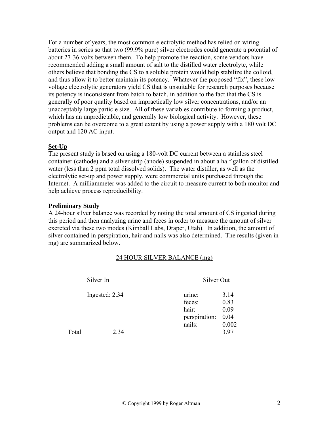For a number of years, the most common electrolytic method has relied on wiring batteries in series so that two (99.9% pure) silver electrodes could generate a potential of about 27-36 volts between them. To help promote the reaction, some vendors have recommended adding a small amount of salt to the distilled water electrolyte, while others believe that bonding the CS to a soluble protein would help stabilize the colloid, and thus allow it to better maintain its potency. Whatever the proposed "fix", these low voltage electrolytic generators yield CS that is unsuitable for research purposes because its potency is inconsistent from batch to batch, in addition to the fact that the CS is generally of poor quality based on impractically low silver concentrations, and/or an unacceptably large particle size. All of these variables contribute to forming a product, which has an unpredictable, and generally low biological activity. However, these problems can be overcome to a great extent by using a power supply with a 180 volt DC output and 120 AC input.

#### **Set-Up**

The present study is based on using a 180-volt DC current between a stainless steel container (cathode) and a silver strip (anode) suspended in about a half gallon of distilled water (less than 2 ppm total dissolved solids). The water distiller, as well as the electrolytic set-up and power supply, were commercial units purchased through the Internet. A milliammeter was added to the circuit to measure current to both monitor and help achieve process reproducibility.

#### **Preliminary Study**

A 24-hour silver balance was recorded by noting the total amount of CS ingested during this period and then analyzing urine and feces in order to measure the amount of silver excreted via these two modes (Kimball Labs, Draper, Utah). In addition, the amount of silver contained in perspiration, hair and nails was also determined. The results (given in mg) are summarized below.

#### 24 HOUR SILVER BALANCE (mg)

|       | Silver In      |                         | Silver Out    |  |
|-------|----------------|-------------------------|---------------|--|
|       | Ingested: 2.34 | urine:<br>feces:        | 3.14<br>0.83  |  |
|       |                | hair:                   | 0.09          |  |
|       |                | perspiration:<br>nails: | 0.04<br>0.002 |  |
| Total | 2.34           |                         | 397           |  |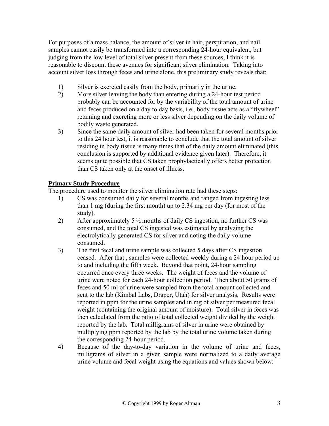For purposes of a mass balance, the amount of silver in hair, perspiration, and nail samples cannot easily be transformed into a corresponding 24-hour equivalent, but judging from the low level of total silver present from these sources, I think it is reasonable to discount these avenues for significant silver elimination. Taking into account silver loss through feces and urine alone, this preliminary study reveals that:

- 1) Silver is excreted easily from the body, primarily in the urine.
- 2) More silver leaving the body than entering during a 24-hour test period probably can be accounted for by the variability of the total amount of urine and feces produced on a day to day basis, i.e., body tissue acts as a "flywheel" retaining and excreting more or less silver depending on the daily volume of bodily waste generated.
- 3) Since the same daily amount of silver had been taken for several months prior to this 24 hour test, it is reasonable to conclude that the total amount of silver residing in body tissue is many times that of the daily amount eliminated (this conclusion is supported by additional evidence given later). Therefore, it seems quite possible that CS taken prophylactically offers better protection than CS taken only at the onset of illness.

#### **Primary Study Procedure**

The procedure used to monitor the silver elimination rate had these steps:

- 1) CS was consumed daily for several months and ranged from ingesting less than 1 mg (during the first month) up to 2.34 mg per day (for most of the study).
- 2) After approximately 5  $\frac{1}{2}$  months of daily CS ingestion, no further CS was consumed, and the total CS ingested was estimated by analyzing the electrolytically generated CS for silver and noting the daily volume consumed.
- 3) The first fecal and urine sample was collected 5 days after CS ingestion ceased. After that , samples were collected weekly during a 24 hour period up to and including the fifth week. Beyond that point, 24-hour sampling occurred once every three weeks. The weight of feces and the volume of urine were noted for each 24-hour collection period. Then about 50 grams of feces and 50 ml of urine were sampled from the total amount collected and sent to the lab (Kimbal Labs, Draper, Utah) for silver analysis. Results were reported in ppm for the urine samples and in mg of silver per measured fecal weight (containing the original amount of moisture). Total silver in feces was then calculated from the ratio of total collected weight divided by the weight reported by the lab. Total milligrams of silver in urine were obtained by multiplying ppm reported by the lab by the total urine volume taken during the corresponding 24-hour period.
- 4) Because of the day-to-day variation in the volume of urine and feces, milligrams of silver in a given sample were normalized to a daily average urine volume and fecal weight using the equations and values shown below: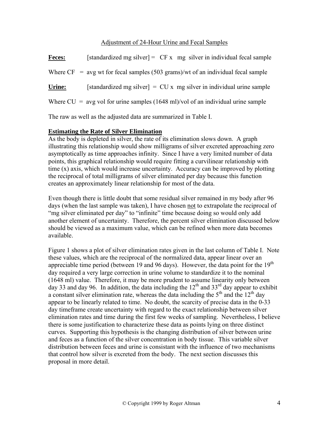#### Adjustment of 24-Hour Urine and Fecal Samples

| [standardized mg silver] = $CFx$ mg silver in individual fecal sample              |
|------------------------------------------------------------------------------------|
|                                                                                    |
| [standardized mg silver] = $CU \times mg$ silver in individual urine sample        |
|                                                                                    |
| Where $CF = avg$ wt for fecal samples (503 grams)/wt of an individual fecal sample |

The raw as well as the adjusted data are summarized in Table I.

#### **Estimating the Rate of Silver Elimination**

As the body is depleted in silver, the rate of its elimination slows down. A graph illustrating this relationship would show milligrams of silver excreted approaching zero asymptotically as time approaches infinity. Since I have a very limited number of data points, this graphical relationship would require fitting a curvilinear relationship with time (x) axis, which would increase uncertainty. Accuracy can be improved by plotting the reciprocal of total milligrams of silver eliminated per day because this function creates an approximately linear relationship for most of the data.

Even though there is little doubt that some residual silver remained in my body after 96 days (when the last sample was taken), I have chosen not to extrapolate the reciprocal of "mg silver eliminated per day" to "infinite" time because doing so would only add another element of uncertainty. Therefore, the percent silver elimination discussed below should be viewed as a maximum value, which can be refined when more data becomes available.

Figure 1 shows a plot of silver elimination rates given in the last column of Table I. Note these values, which are the reciprocal of the normalized data, appear linear over an appreciable time period (between 19 and 96 days). However, the data point for the  $19<sup>th</sup>$ day required a very large correction in urine volume to standardize it to the nominal (1648 ml) value. Therefore, it may be more prudent to assume linearity only between day 33 and day 96. In addition, the data including the  $12<sup>th</sup>$  and  $33<sup>rd</sup>$  day appear to exhibit a constant silver elimination rate, whereas the data including the  $5<sup>th</sup>$  and the  $12<sup>th</sup>$  day appear to be linearly related to time. No doubt, the scarcity of precise data in the 0-33 day timeframe create uncertainty with regard to the exact relationship between silver elimination rates and time during the first few weeks of sampling. Nevertheless, I believe there is some justification to characterize these data as points lying on three distinct curves. Supporting this hypothesis is the changing distribution of silver between urine and feces as a function of the silver concentration in body tissue. This variable silver distribution between feces and urine is consistant with the influence of two mechanisms that control how silver is excreted from the body. The next section discusses this proposal in more detail.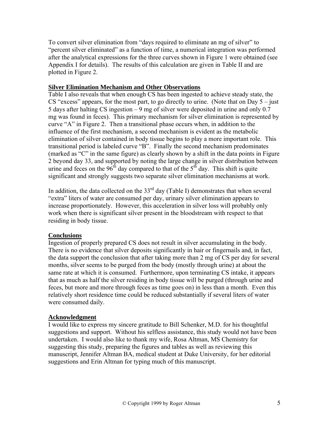To convert silver elimination from "days required to eliminate an mg of silver" to "percent silver eliminated" as a function of time, a numerical integration was performed after the analytical expressions for the three curves shown in Figure 1 were obtained (see Appendix I for details). The results of this calculation are given in Table II and are plotted in Figure 2.

#### **Silver Elimination Mechanism and Other Observations**

Table I also reveals that when enough CS has been ingested to achieve steady state, the CS "excess" appears, for the most part, to go directly to urine. (Note that on Day  $5 -$  just 5 days after halting CS ingestion – 9 mg of silver were deposited in urine and only 0.7 mg was found in feces). This primary mechanism for silver elimination is represented by curve "A" in Figure 2. Then a transitional phase occurs when, in addition to the influence of the first mechanism, a second mechanism is evident as the metabolic elimination of silver contained in body tissue begins to play a more important role. This transitional period is labeled curve "B". Finally the second mechanism predominates (marked as "C" in the same figure) as clearly shown by a shift in the data points in Figure 2 beyond day 33, and supported by noting the large change in silver distribution between urine and feces on the  $96<sup>th</sup>$  day compared to that of the  $5<sup>th</sup>$  day. This shift is quite significant and strongly suggests two separate silver elimination mechanisms at work.

In addition, the data collected on the  $33<sup>rd</sup>$  day (Table I) demonstrates that when several "extra" liters of water are consumed per day, urinary silver elimination appears to increase proportionately. However, this acceleration in silver loss will probably only work when there is significant silver present in the bloodstream with respect to that residing in body tissue.

#### **Conclusions**

Ingestion of properly prepared CS does not result in silver accumulating in the body. There is no evidence that silver deposits significantly in hair or fingernails and, in fact, the data support the conclusion that after taking more than 2 mg of CS per day for several months, silver seems to be purged from the body (mostly through urine) at about the same rate at which it is consumed. Furthermore, upon terminating CS intake, it appears that as much as half the silver residing in body tissue will be purged (through urine and feces, but more and more through feces as time goes on) in less than a month. Even this relatively short residence time could be reduced substantially if several liters of water were consumed daily.

#### **Acknowledgment**

I would like to express my sincere gratitude to Bill Schenker, M.D. for his thoughtful suggestions and support. Without his selfless assistance, this study would not have been undertaken. I would also like to thank my wife, Rosa Altman, MS Chemistry for suggesting this study, preparing the figures and tables as well as reviewing this manuscript, Jennifer Altman BA, medical student at Duke University, for her editorial suggestions and Erin Altman for typing much of this manuscript.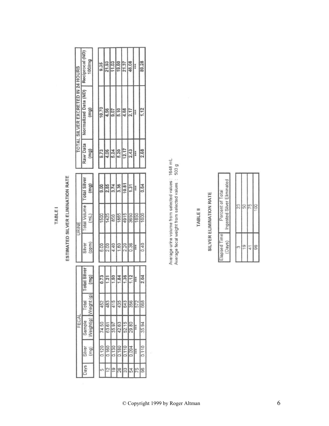|        | <b>Contract Contract</b> |        |  |
|--------|--------------------------|--------|--|
| ٠      | í,                       |        |  |
| ì<br>î |                          |        |  |
| ×<br>ı |                          |        |  |
| ï      | ł<br>÷                   | ٠<br>۰ |  |

# ESTIMATED SILVER ELIMINATION RATE

| Reciprocal (ND)      | 100/mg                           |      | 9.35              | 21.93    |               | 19.60 | 21.37 | 46.08 | $4 + 4$ | 89.28 |
|----------------------|----------------------------------|------|-------------------|----------|---------------|-------|-------|-------|---------|-------|
| Normalized Data (ND) | $\left( \frac{m}{2} \right)$     |      | 10.70             | 4.56     | 9.07          | 5.10  |       | 2.17  | 南南市     | 1.12  |
| Raw Data             | (mg)                             |      | 9.73              | 4.06     | 5.24          | 5.20  | 12.17 | 2.43  | 南索宾     | 2.68  |
| <b>Total Silver</b>  | (mg)                             |      | 9.00              | 2.85     | 3.74          | 3.36  | 10.81 | 1.31  | 安全食     | 0.64  |
| Total Volume         | $\equiv$                         |      | 1500              | 1425     | 850           | 1865  | 4915  | 3650  | 1850    | 1600  |
| Silver               | (ppm)                            |      | 6.00              | 2.00     | 4.40          | 1.80  | 2.20  | 0.36  | 青青素     | 0.40  |
| <b>Total Silver</b>  | $\overline{m}$ g)                |      | 0.73              | 1.21     | 1.50          | 1.84  | 1.36  | 1.12  | 安食堂     | 2.04  |
| <b>Total</b>         | $\widehat{\mathbf{e}}$<br>Veight |      | 452               | 483      | 415           | 435   | 643   | 356   | 572     | 668   |
| Sample               |                                  |      | 74.50             | 63.61    | 35.97         | 42.63 | 52.15 | 29.80 | 青安市     | 35.94 |
| Silver               |                                  |      | 0.120             | 160<br>ö | 0.130         | 0.180 | 0.110 | 0.094 | 医食物     | 0.110 |
|                      |                                  |      | 5                 | 12       | $\frac{9}{2}$ | 26    | 33    | 54    | 75      | 96    |
|                      |                                  | Days | Weight(g)<br>(mq) |          |               | 11.03 |       | 4.68  |         |       |

Average urine volume from selected values: 1648 mL<br>Average fecal weight from selected values: 503 g

## TABLE II

# SILVER ELIMINATION RATE

| ā<br>Percar |
|-------------|
| 2           |

Г

| nates ill in laking natearing | 23 | 50 |    |
|-------------------------------|----|----|----|
|                               |    |    |    |
| lefenl                        |    |    | 98 |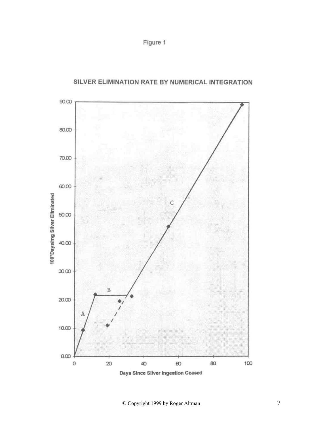



#### SILVER ELIMINATION RATE BY NUMERICAL INTEGRATION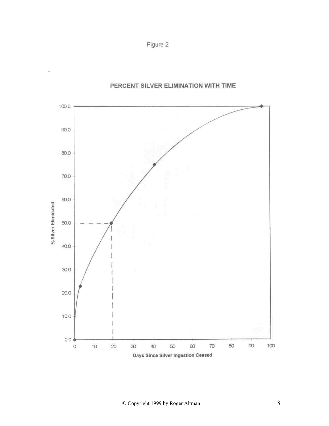Figure 2



#### PERCENT SILVER ELIMINATION WITH TIME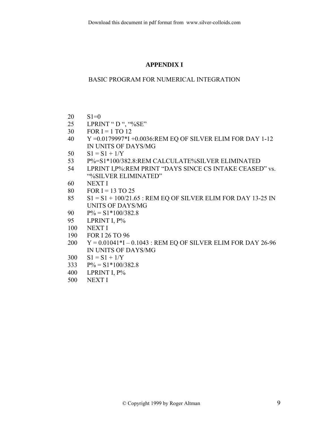#### **APPENDIX I**

#### BASIC PROGRAM FOR NUMERICAL INTEGRATION

- $20 \quad S1=0$
- 25 LPRINT " D ", "%SE"
- 30 FOR  $I = 1$  TO 12
- 40 Y =0.0179997\*I +0.0036:REM EQ OF SILVER ELIM FOR DAY 1-12 IN UNITS OF DAYS/MG
- 50  $S1 = S1 + 1/Y$
- 53 P%=S1\*100/382.8:REM CALCULATE%SILVER ELIMINATED
- 54 LPRINT I,P%:REM PRINT "DAYS SINCE CS INTAKE CEASED" vs. "%SILVER ELIMINATED"
- 60 NEXT I
- 80 FOR I = 13 TO 25
- $85$   $S1 = S1 + 100/21.65$ : REM EQ OF SILVER ELIM FOR DAY 13-25 IN UNITS OF DAYS/MG
- 90  $P\% = S1*100/382.8$
- 95 LPRINT I, P%
- 100 NEXT I
- 190 FOR I 26 TO 96
- 200 Y = 0.01041\*I 0.1043 : REM EQ OF SILVER ELIM FOR DAY 26-96 IN UNITS OF DAYS/MG
- 300  $SI = SI + 1/Y$
- 333  $P\% = S1*100/382.8$
- 400 LPRINT I, P%
- 500 NEXT I